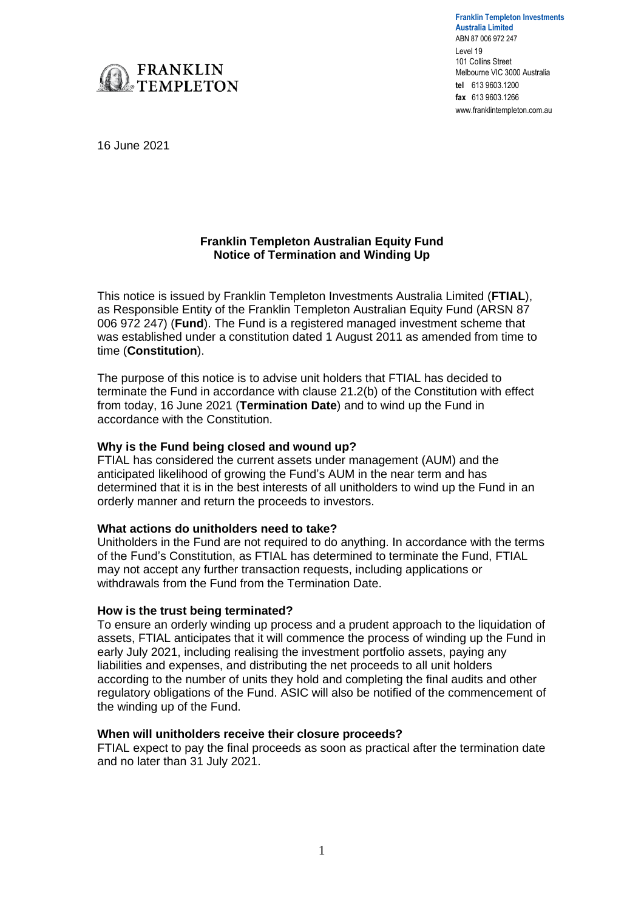

**Franklin Templeton Investments Australia Limited** ABN 87 006 972 247 Level 19 101 Collins Street Melbourne VIC 3000 Australia **tel** 613 9603.1200 **fax** 613 9603.1266 www.franklintempleton.com.au

16 June 2021

### **Franklin Templeton Australian Equity Fund Notice of Termination and Winding Up**

This notice is issued by Franklin Templeton Investments Australia Limited (**FTIAL**), as Responsible Entity of the Franklin Templeton Australian Equity Fund (ARSN 87 006 972 247) (**Fund**). The Fund is a registered managed investment scheme that was established under a constitution dated 1 August 2011 as amended from time to time (**Constitution**).

The purpose of this notice is to advise unit holders that FTIAL has decided to terminate the Fund in accordance with clause 21.2(b) of the Constitution with effect from today, 16 June 2021 (**Termination Date**) and to wind up the Fund in accordance with the Constitution.

# **Why is the Fund being closed and wound up?**

FTIAL has considered the current assets under management (AUM) and the anticipated likelihood of growing the Fund's AUM in the near term and has determined that it is in the best interests of all unitholders to wind up the Fund in an orderly manner and return the proceeds to investors.

# **What actions do unitholders need to take?**

Unitholders in the Fund are not required to do anything. In accordance with the terms of the Fund's Constitution, as FTIAL has determined to terminate the Fund, FTIAL may not accept any further transaction requests, including applications or withdrawals from the Fund from the Termination Date.

# **How is the trust being terminated?**

To ensure an orderly winding up process and a prudent approach to the liquidation of assets, FTIAL anticipates that it will commence the process of winding up the Fund in early July 2021, including realising the investment portfolio assets, paying any liabilities and expenses, and distributing the net proceeds to all unit holders according to the number of units they hold and completing the final audits and other regulatory obligations of the Fund. ASIC will also be notified of the commencement of the winding up of the Fund.

### **When will unitholders receive their closure proceeds?**

FTIAL expect to pay the final proceeds as soon as practical after the termination date and no later than 31 July 2021.